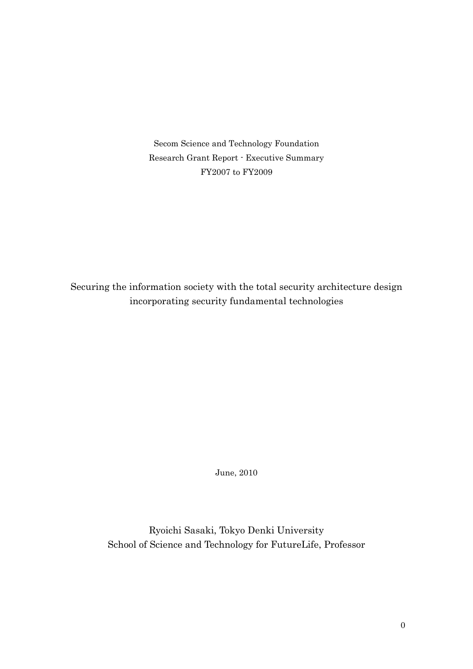Secom Science and Technology Foundation Research Grant Report - Executive Summary FY2007 to FY2009

Securing the information society with the total security architecture design incorporating security fundamental technologies

June, 2010

Ryoichi Sasaki, Tokyo Denki University School of Science and Technology for FutureLife, Professor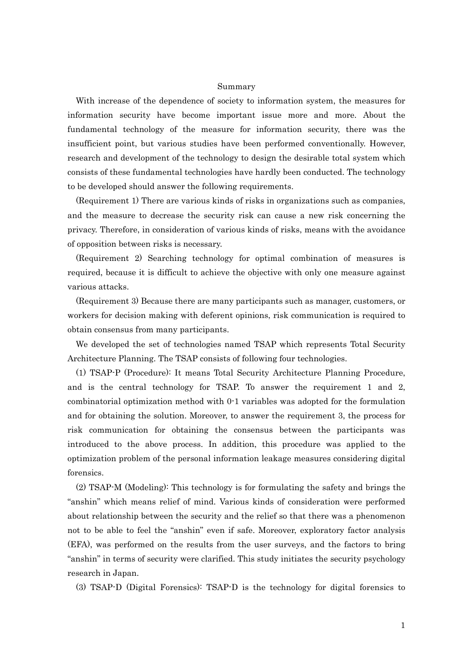## Summary

With increase of the dependence of society to information system, the measures for information security have become important issue more and more. About the fundamental technology of the measure for information security, there was the insufficient point, but various studies have been performed conventionally. However, research and development of the technology to design the desirable total system which consists of these fundamental technologies have hardly been conducted. The technology to be developed should answer the following requirements.

(Requirement 1) There are various kinds of risks in organizations such as companies, and the measure to decrease the security risk can cause a new risk concerning the privacy. Therefore, in consideration of various kinds of risks, means with the avoidance of opposition between risks is necessary.

(Requirement 2) Searching technology for optimal combination of measures is required, because it is difficult to achieve the objective with only one measure against various attacks.

(Requirement 3) Because there are many participants such as manager, customers, or workers for decision making with deferent opinions, risk communication is required to obtain consensus from many participants.

We developed the set of technologies named TSAP which represents Total Security Architecture Planning. The TSAP consists of following four technologies.

(1) TSAP-P (Procedure): It means Total Security Architecture Planning Procedure, and is the central technology for TSAP. To answer the requirement 1 and 2, combinatorial optimization method with 0-1 variables was adopted for the formulation and for obtaining the solution. Moreover, to answer the requirement 3, the process for risk communication for obtaining the consensus between the participants was introduced to the above process. In addition, this procedure was applied to the optimization problem of the personal information leakage measures considering digital forensics.

(2) TSAP-M (Modeling): This technology is for formulating the safety and brings the "anshin" which means relief of mind. Various kinds of consideration were performed about relationship between the security and the relief so that there was a phenomenon not to be able to feel the "anshin" even if safe. Moreover, exploratory factor analysis (EFA), was performed on the results from the user surveys, and the factors to bring "anshin" in terms of security were clarified. This study initiates the security psychology research in Japan.

(3) TSAP-D (Digital Forensics): TSAP-D is the technology for digital forensics to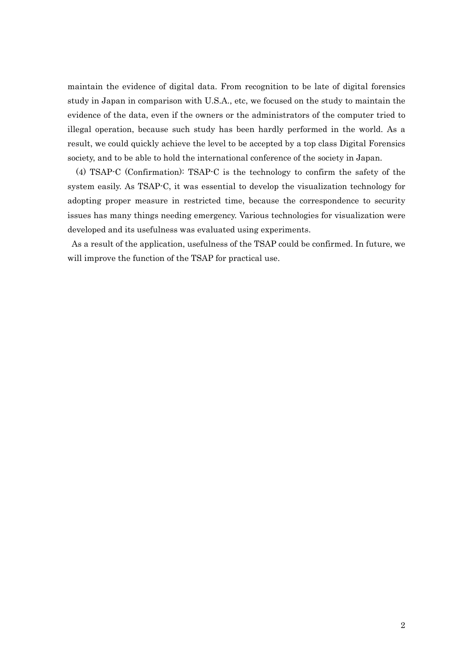maintain the evidence of digital data. From recognition to be late of digital forensics study in Japan in comparison with U.S.A., etc, we focused on the study to maintain the evidence of the data, even if the owners or the administrators of the computer tried to illegal operation, because such study has been hardly performed in the world. As a result, we could quickly achieve the level to be accepted by a top class Digital Forensics society, and to be able to hold the international conference of the society in Japan.

(4) TSAP-C (Confirmation): TSAP-C is the technology to confirm the safety of the system easily. As TSAP-C, it was essential to develop the visualization technology for adopting proper measure in restricted time, because the correspondence to security issues has many things needing emergency. Various technologies for visualization were developed and its usefulness was evaluated using experiments.

As a result of the application, usefulness of the TSAP could be confirmed. In future, we will improve the function of the TSAP for practical use.